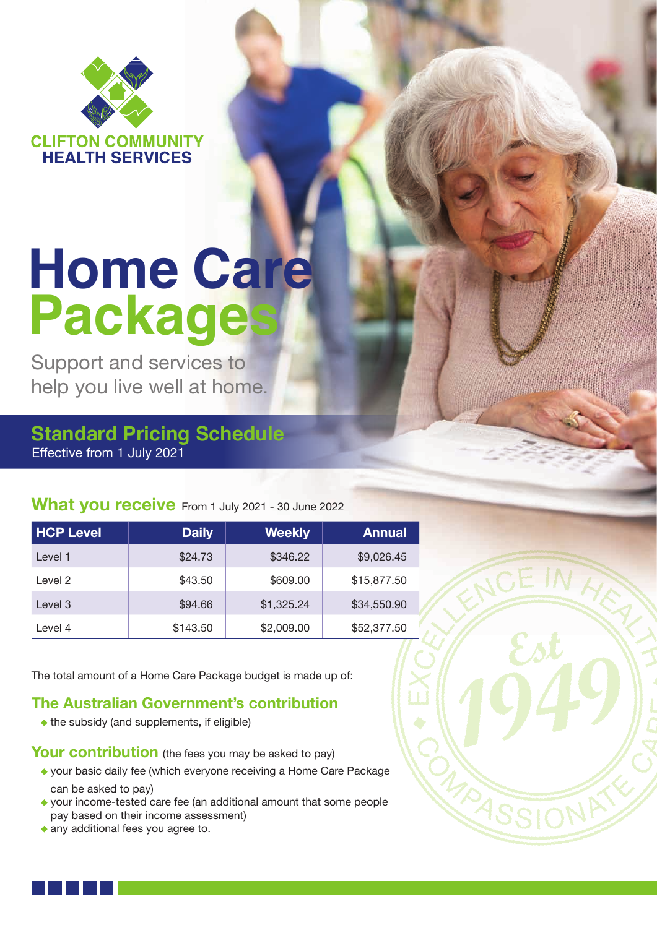

# **Home Care Package**

Support and services to help you live well at home.

# Effective from 1 July 2021 **Standard Pricing Schedule**

# **What you receive** From 1 July 2021 - 30 June 2022

| <b>HCP Level</b> | <b>Daily</b> | <b>Weekly</b> | <b>Annual</b> |
|------------------|--------------|---------------|---------------|
| Level 1          | \$24.73      | \$346.22      | \$9,026.45    |
| Level 2          | \$43.50      | \$609.00      | \$15,877.50   |
| Level 3          | \$94.66      | \$1,325.24    | \$34,550.90   |
| Level 4          | \$143.50     | \$2,009.00    | \$52,377.50   |

The total amount of a Home Care Package budget is made up of:

#### **The Australian Government's contribution**

• the subsidy (and supplements, if eligible)

**Your contribution** (the fees you may be asked to pay)

- your basic daily fee (which everyone receiving a Home Care Package can be asked to pay)
- your income-tested care fee (an additional amount that some people pay based on their income assessment)

MARS

any additional fees you agree to.